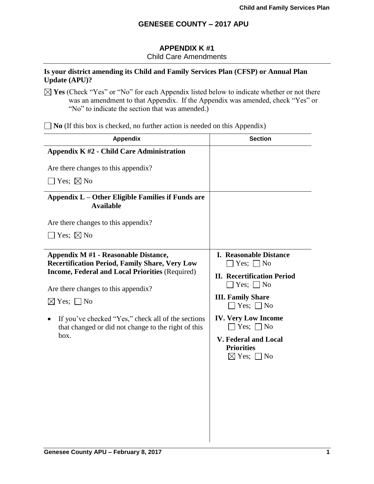## **APPENDIX K #1**

Child Care Amendments

## **Is your district amending its Child and Family Services Plan (CFSP) or Annual Plan Update (APU)?**

 $\boxtimes$  **Yes** (Check "Yes" or "No" for each Appendix listed below to indicate whether or not there was an amendment to that Appendix. If the Appendix was amended, check "Yes" or "No" to indicate the section that was amended.)

■ **No** (If this box is checked, no further action is needed on this Appendix)

| <b>Appendix</b>                                                                                                                                                                                                                                                                                                                                   | <b>Section</b>                                                                                                                                                                                                                                                                                                 |
|---------------------------------------------------------------------------------------------------------------------------------------------------------------------------------------------------------------------------------------------------------------------------------------------------------------------------------------------------|----------------------------------------------------------------------------------------------------------------------------------------------------------------------------------------------------------------------------------------------------------------------------------------------------------------|
| Appendix K #2 - Child Care Administration                                                                                                                                                                                                                                                                                                         |                                                                                                                                                                                                                                                                                                                |
| Are there changes to this appendix?<br>$\Box$ Yes; $\boxtimes$ No                                                                                                                                                                                                                                                                                 |                                                                                                                                                                                                                                                                                                                |
| Appendix L – Other Eligible Families if Funds are<br><b>Available</b><br>Are there changes to this appendix?                                                                                                                                                                                                                                      |                                                                                                                                                                                                                                                                                                                |
| $\exists$ Yes; $\boxtimes$ No                                                                                                                                                                                                                                                                                                                     |                                                                                                                                                                                                                                                                                                                |
| Appendix M #1 - Reasonable Distance,<br><b>Recertification Period, Family Share, Very Low</b><br><b>Income, Federal and Local Priorities (Required)</b><br>Are there changes to this appendix?<br>$\boxtimes$ Yes; $\Box$ No<br>If you've checked "Yes," check all of the sections<br>that changed or did not change to the right of this<br>box. | <b>I. Reasonable Distance</b><br>$\Box$ Yes; $\Box$ No<br><b>II. Recertification Period</b><br>$\exists$ Yes; $\Box$ No<br><b>III. Family Share</b><br>$\Box$ Yes; $\Box$ No<br><b>IV. Very Low Income</b><br>$\Box$ Yes; $\Box$ No<br>V. Federal and Local<br><b>Priorities</b><br>$\boxtimes$ Yes; $\Box$ No |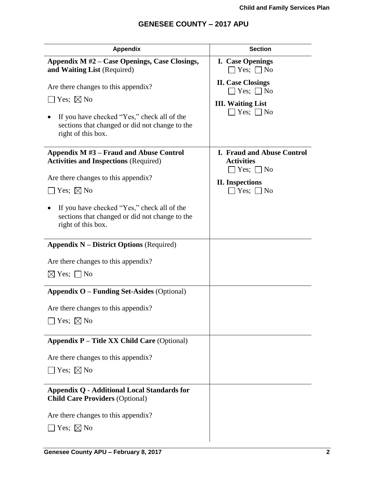| <b>GENESEE COUNTY - 2017 APU</b> |  |
|----------------------------------|--|
|----------------------------------|--|

| <b>Appendix</b>                                                                                                     | <b>Section</b>                                                                  |
|---------------------------------------------------------------------------------------------------------------------|---------------------------------------------------------------------------------|
| Appendix M #2 – Case Openings, Case Closings,<br>and Waiting List (Required)                                        | <b>I.</b> Case Openings<br>$\Box$ Yes; $\Box$ No                                |
| Are there changes to this appendix?                                                                                 | <b>II. Case Closings</b><br>$\Box$ Yes; $\Box$ No                               |
| Yes; $\boxtimes$ No                                                                                                 | <b>III.</b> Waiting List                                                        |
| If you have checked "Yes," check all of the<br>sections that changed or did not change to the<br>right of this box. | $\exists$ Yes; $\Box$ No                                                        |
| Appendix $M#3$ – Fraud and Abuse Control<br><b>Activities and Inspections (Required)</b>                            | <b>I. Fraud and Abuse Control</b><br><b>Activities</b><br>$\Box$ Yes; $\Box$ No |
| Are there changes to this appendix?                                                                                 | <b>II.</b> Inspections                                                          |
| Yes; $\boxtimes$ No                                                                                                 | $\exists$ Yes; $\Box$ No                                                        |
| If you have checked "Yes," check all of the<br>sections that changed or did not change to the<br>right of this box. |                                                                                 |
| <b>Appendix N – District Options (Required)</b>                                                                     |                                                                                 |
| Are there changes to this appendix?                                                                                 |                                                                                 |
| $\boxtimes$ Yes; $\Box$ No                                                                                          |                                                                                 |
| <b>Appendix O – Funding Set-Asides (Optional)</b>                                                                   |                                                                                 |
| Are there changes to this appendix?                                                                                 |                                                                                 |
| Yes; $\boxtimes$ No                                                                                                 |                                                                                 |
| Appendix P - Title XX Child Care (Optional)                                                                         |                                                                                 |
| Are there changes to this appendix?                                                                                 |                                                                                 |
| Yes; $\boxtimes$ No                                                                                                 |                                                                                 |
| <b>Appendix Q - Additional Local Standards for</b><br><b>Child Care Providers (Optional)</b>                        |                                                                                 |
| Are there changes to this appendix?                                                                                 |                                                                                 |
| Yes; $\boxtimes$ No                                                                                                 |                                                                                 |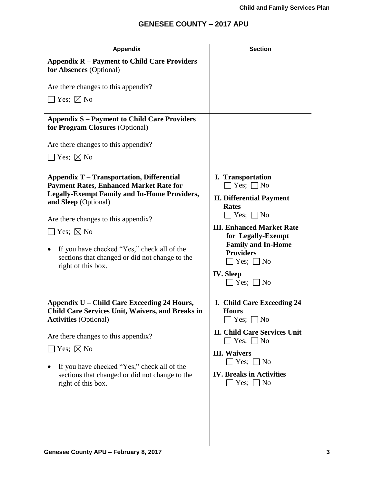| <b>GENESEE COUNTY - 2017 APU</b> |  |
|----------------------------------|--|
|----------------------------------|--|

| <b>Appendix</b>                                                                                                                                                                                                                                                                                                                                                               | <b>Section</b>                                                                                                                                                                                                                                                                                                    |
|-------------------------------------------------------------------------------------------------------------------------------------------------------------------------------------------------------------------------------------------------------------------------------------------------------------------------------------------------------------------------------|-------------------------------------------------------------------------------------------------------------------------------------------------------------------------------------------------------------------------------------------------------------------------------------------------------------------|
| <b>Appendix R – Payment to Child Care Providers</b><br>for Absences (Optional)                                                                                                                                                                                                                                                                                                |                                                                                                                                                                                                                                                                                                                   |
| Are there changes to this appendix?<br>$\Box$ Yes; $\boxtimes$ No                                                                                                                                                                                                                                                                                                             |                                                                                                                                                                                                                                                                                                                   |
| <b>Appendix S – Payment to Child Care Providers</b>                                                                                                                                                                                                                                                                                                                           |                                                                                                                                                                                                                                                                                                                   |
| for Program Closures (Optional)<br>Are there changes to this appendix?                                                                                                                                                                                                                                                                                                        |                                                                                                                                                                                                                                                                                                                   |
| $\Box$ Yes; $\boxtimes$ No                                                                                                                                                                                                                                                                                                                                                    |                                                                                                                                                                                                                                                                                                                   |
| <b>Appendix T - Transportation, Differential</b><br><b>Payment Rates, Enhanced Market Rate for</b><br><b>Legally-Exempt Family and In-Home Providers,</b><br>and Sleep (Optional)<br>Are there changes to this appendix?<br>$\Box$ Yes; $\boxtimes$ No<br>If you have checked "Yes," check all of the<br>sections that changed or did not change to the<br>right of this box. | <b>I.</b> Transportation<br>$\top$ Yes; $\Box$ No<br><b>II. Differential Payment</b><br><b>Rates</b><br>$\Box$ Yes; $\Box$ No<br><b>III. Enhanced Market Rate</b><br>for Legally-Exempt<br><b>Family and In-Home</b><br><b>Providers</b><br>$\Box$ Yes; $\Box$ No<br><b>IV. Sleep</b><br>$\exists$ Yes; $\Box$ No |
| Appendix U – Child Care Exceeding 24 Hours,<br><b>Child Care Services Unit, Waivers, and Breaks in</b><br><b>Activities</b> (Optional)<br>Are there changes to this appendix?<br>Yes; $\boxtimes$ No<br>If you have checked "Yes," check all of the<br>sections that changed or did not change to the<br>right of this box.                                                   | I. Child Care Exceeding 24<br><b>Hours</b><br>$\Box$ Yes; $\Box$ No<br><b>II. Child Care Services Unit</b><br>$\Box$ Yes; $\Box$ No<br><b>III. Waivers</b><br>Yes; $\Box$ No<br><b>IV. Breaks in Activities</b><br>Yes; $\Box$ No                                                                                 |
|                                                                                                                                                                                                                                                                                                                                                                               |                                                                                                                                                                                                                                                                                                                   |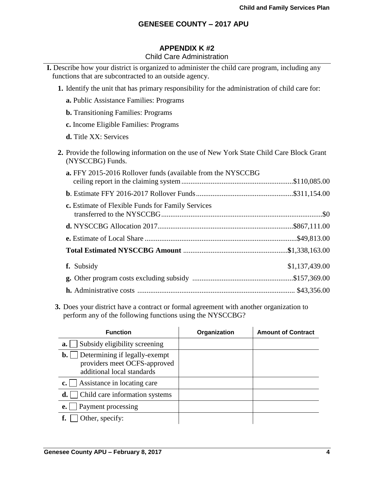# **APPENDIX K #2**

# Child Care Administration

| I. Describe how your district is organized to administer the child care program, including any<br>functions that are subcontracted to an outside agency. |
|----------------------------------------------------------------------------------------------------------------------------------------------------------|
| 1. Identify the unit that has primary responsibility for the administration of child care for:                                                           |
| a. Public Assistance Families: Programs                                                                                                                  |
| <b>b.</b> Transitioning Families: Programs                                                                                                               |
| c. Income Eligible Families: Programs                                                                                                                    |
| d. Title XX: Services                                                                                                                                    |
| 2. Provide the following information on the use of New York State Child Care Block Grant<br>(NYSCCBG) Funds.                                             |
| a. FFY 2015-2016 Rollover funds (available from the NYSCCBG                                                                                              |
|                                                                                                                                                          |
| c. Estimate of Flexible Funds for Family Services                                                                                                        |
|                                                                                                                                                          |
|                                                                                                                                                          |
|                                                                                                                                                          |
| f. Subsidy<br>\$1,137,439.00                                                                                                                             |
|                                                                                                                                                          |
|                                                                                                                                                          |
| 3. Does your district have a contract or formal agreement with another organization to                                                                   |

perform any of the following functions using the NYSCCBG?

| <b>Function</b>                                                                                   | Organization | <b>Amount of Contract</b> |
|---------------------------------------------------------------------------------------------------|--------------|---------------------------|
| Subsidy eligibility screening<br>a.                                                               |              |                           |
| Determining if legally-exempt<br>b.<br>providers meet OCFS-approved<br>additional local standards |              |                           |
| Assistance in locating care<br>c.                                                                 |              |                           |
| Child care information systems<br>d.                                                              |              |                           |
| Payment processing<br>е.                                                                          |              |                           |
| Other, specify:                                                                                   |              |                           |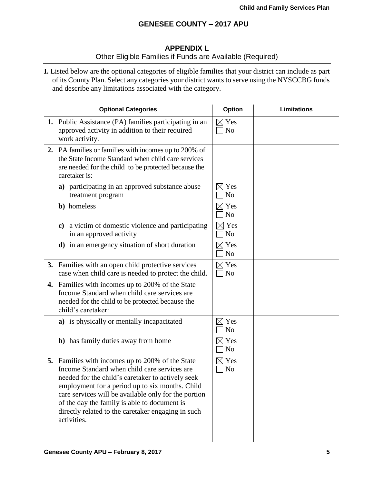## **APPENDIX L** Other Eligible Families if Funds are Available (Required)

**I.** Listed below are the optional categories of eligible families that your district can include as part of its County Plan. Select any categories your district wants to serve using the NYSCCBG funds and describe any limitations associated with the category.

| <b>Optional Categories</b>                                                                                                                                                                                                                                                                                                                                                                   | Option                            | <b>Limitations</b> |
|----------------------------------------------------------------------------------------------------------------------------------------------------------------------------------------------------------------------------------------------------------------------------------------------------------------------------------------------------------------------------------------------|-----------------------------------|--------------------|
| 1. Public Assistance (PA) families participating in an<br>approved activity in addition to their required<br>work activity.                                                                                                                                                                                                                                                                  | $\boxtimes$ Yes<br>N <sub>o</sub> |                    |
| 2. PA families or families with incomes up to 200% of<br>the State Income Standard when child care services<br>are needed for the child to be protected because the<br>caretaker is:                                                                                                                                                                                                         |                                   |                    |
| a) participating in an approved substance abuse<br>treatment program                                                                                                                                                                                                                                                                                                                         | $\boxtimes$ Yes<br>N <sub>o</sub> |                    |
| <b>b</b> ) homeless                                                                                                                                                                                                                                                                                                                                                                          | Yes<br>N <sub>o</sub>             |                    |
| a victim of domestic violence and participating<br>c)<br>in an approved activity                                                                                                                                                                                                                                                                                                             | $\boxtimes$ Yes<br>N <sub>o</sub> |                    |
| <b>d</b> ) in an emergency situation of short duration                                                                                                                                                                                                                                                                                                                                       | $\boxtimes$ Yes<br>N <sub>o</sub> |                    |
| 3. Families with an open child protective services<br>case when child care is needed to protect the child.                                                                                                                                                                                                                                                                                   | $\boxtimes$ Yes<br>N <sub>o</sub> |                    |
| 4. Families with incomes up to 200% of the State<br>Income Standard when child care services are<br>needed for the child to be protected because the<br>child's caretaker:                                                                                                                                                                                                                   |                                   |                    |
| a) is physically or mentally incapacitated                                                                                                                                                                                                                                                                                                                                                   | $\boxtimes$ Yes<br>N <sub>o</sub> |                    |
| <b>b</b> ) has family duties away from home                                                                                                                                                                                                                                                                                                                                                  | $\boxtimes$ Yes<br>N <sub>o</sub> |                    |
| <b>5.</b> Families with incomes up to 200% of the State<br>Income Standard when child care services are<br>needed for the child's caretaker to actively seek<br>employment for a period up to six months. Child<br>care services will be available only for the portion<br>of the day the family is able to document is<br>directly related to the caretaker engaging in such<br>activities. | $\boxtimes$ Yes<br>N <sub>o</sub> |                    |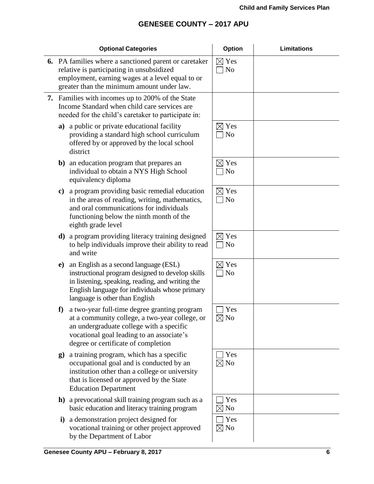| <b>Optional Categories</b>                                                                                                                                                                                                                  | Option                            | <b>Limitations</b> |
|---------------------------------------------------------------------------------------------------------------------------------------------------------------------------------------------------------------------------------------------|-----------------------------------|--------------------|
| <b>6.</b> PA families where a sanctioned parent or caretaker<br>relative is participating in unsubsidized<br>employment, earning wages at a level equal to or<br>greater than the minimum amount under law.                                 | $\boxtimes$ Yes<br>N <sub>o</sub> |                    |
| <b>7.</b> Families with incomes up to 200% of the State<br>Income Standard when child care services are<br>needed for the child's caretaker to participate in:                                                                              |                                   |                    |
| a) a public or private educational facility<br>providing a standard high school curriculum<br>offered by or approved by the local school<br>district                                                                                        | $\boxtimes$ Yes<br>N <sub>o</sub> |                    |
| <b>b</b> ) an education program that prepares an<br>individual to obtain a NYS High School<br>equivalency diploma                                                                                                                           | $\boxtimes$ Yes<br>N <sub>o</sub> |                    |
| c) a program providing basic remedial education<br>in the areas of reading, writing, mathematics,<br>and oral communications for individuals<br>functioning below the ninth month of the<br>eighth grade level                              | $\boxtimes$ Yes<br>N <sub>o</sub> |                    |
| a program providing literacy training designed<br>d)<br>to help individuals improve their ability to read<br>and write                                                                                                                      | $\boxtimes$ Yes<br>N <sub>o</sub> |                    |
| an English as a second language (ESL)<br>e)<br>instructional program designed to develop skills<br>in listening, speaking, reading, and writing the<br>English language for individuals whose primary<br>language is other than English     | Yes<br>N <sub>o</sub>             |                    |
| a two-year full-time degree granting program<br>${\bf f}$<br>at a community college, a two-year college, or<br>an undergraduate college with a specific<br>vocational goal leading to an associate's<br>degree or certificate of completion | Yes<br>$\boxtimes$ No             |                    |
| a training program, which has a specific<br>$\bf{g}$<br>occupational goal and is conducted by an<br>institution other than a college or university<br>that is licensed or approved by the State<br><b>Education Department</b>              | Yes<br>$\boxtimes$ No             |                    |
| a prevocational skill training program such as a<br>$\mathbf{h}$<br>basic education and literacy training program                                                                                                                           | Yes<br>N <sub>o</sub>             |                    |
| a demonstration project designed for<br>$\mathbf{i}$<br>vocational training or other project approved<br>by the Department of Labor                                                                                                         | Yes<br>$\boxtimes$ No             |                    |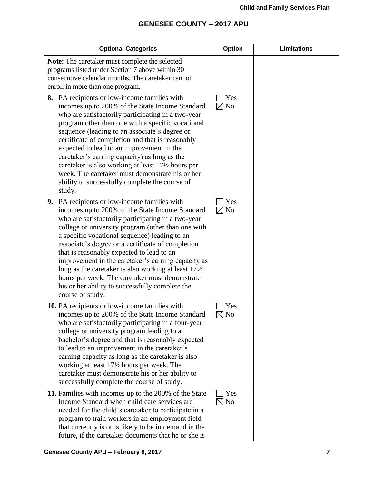| <b>Optional Categories</b>                                                                                                                                                                                                                                                                                                                                                                                                                                                                                                                                                                                      | <b>Option</b>                        | <b>Limitations</b> |
|-----------------------------------------------------------------------------------------------------------------------------------------------------------------------------------------------------------------------------------------------------------------------------------------------------------------------------------------------------------------------------------------------------------------------------------------------------------------------------------------------------------------------------------------------------------------------------------------------------------------|--------------------------------------|--------------------|
| <b>Note:</b> The caretaker must complete the selected<br>programs listed under Section 7 above within 30<br>consecutive calendar months. The caretaker cannot<br>enroll in more than one program.                                                                                                                                                                                                                                                                                                                                                                                                               |                                      |                    |
| 8. PA recipients or low-income families with<br>incomes up to 200% of the State Income Standard<br>who are satisfactorily participating in a two-year<br>program other than one with a specific vocational<br>sequence (leading to an associate's degree or<br>certificate of completion and that is reasonably<br>expected to lead to an improvement in the<br>caretaker's earning capacity) as long as the<br>caretaker is also working at least 17½ hours per<br>week. The caretaker must demonstrate his or her<br>ability to successfully complete the course of<br>study.                                 | Yes<br>$\boxtimes$ No                |                    |
| 9. PA recipients or low-income families with<br>incomes up to 200% of the State Income Standard<br>who are satisfactorily participating in a two-year<br>college or university program (other than one with<br>a specific vocational sequence) leading to an<br>associate's degree or a certificate of completion<br>that is reasonably expected to lead to an<br>improvement in the caretaker's earning capacity as<br>long as the caretaker is also working at least $17\frac{1}{2}$<br>hours per week. The caretaker must demonstrate<br>his or her ability to successfully complete the<br>course of study. | Yes<br>$\boxtimes$ No                |                    |
| 10. PA recipients or low-income families with<br>incomes up to 200% of the State Income Standard<br>who are satisfactorily participating in a four-year<br>college or university program leading to a<br>bachelor's degree and that is reasonably expected<br>to lead to an improvement in the caretaker's<br>earning capacity as long as the caretaker is also<br>working at least 17½ hours per week. The<br>caretaker must demonstrate his or her ability to<br>successfully complete the course of study.                                                                                                   | Yes<br>$\boxtimes$<br>N <sub>0</sub> |                    |
| 11. Families with incomes up to the 200% of the State<br>Income Standard when child care services are<br>needed for the child's caretaker to participate in a<br>program to train workers in an employment field<br>that currently is or is likely to be in demand in the<br>future, if the caretaker documents that he or she is                                                                                                                                                                                                                                                                               | Yes<br>$\boxtimes$ No                |                    |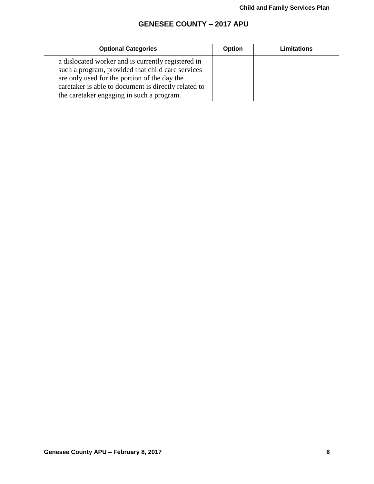| <b>Optional Categories</b>                                                                                                                                                                                                                                   | <b>Option</b> | <b>Limitations</b> |
|--------------------------------------------------------------------------------------------------------------------------------------------------------------------------------------------------------------------------------------------------------------|---------------|--------------------|
| a dislocated worker and is currently registered in<br>such a program, provided that child care services<br>are only used for the portion of the day the<br>caretaker is able to document is directly related to<br>the caretaker engaging in such a program. |               |                    |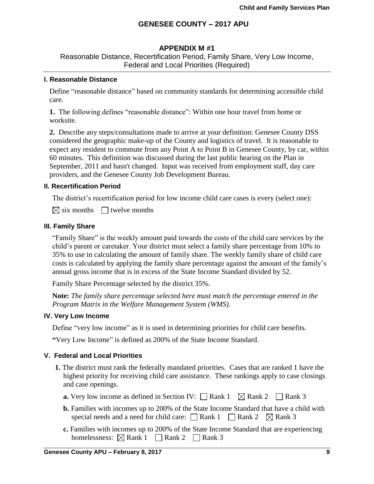### **APPENDIX M #1**

Reasonable Distance, Recertification Period, Family Share, Very Low Income, Federal and Local Priorities (Required)

#### **I. Reasonable Distance**

 Define "reasonable distance" based on community standards for determining accessible child care.

**1.** The following defines "reasonable distance": Within one hour travel from home or worksite.

**2.** Describe any steps/consultations made to arrive at your definition: Genesee County DSS considered the geographic make-up of the County and logistics of travel. It is reasonable to expect any resident to commute from any Point A to Point B in Genesee County, by car, within 60 minutes. This definition was discussed during the last public hearing on the Plan in September, 2011 and hasn't changed. Input was received from employment staff, day care providers, and the Genesee County Job Development Bureau.

#### **II. Recertification Period**

The district's recertification period for low income child care cases is every (select one):

 $\boxtimes$  six months  $\Box$  twelve months

#### **III. Family Share**

"Family Share" is the weekly amount paid towards the costs of the child care services by the child's parent or caretaker. Your district must select a family share percentage from 10% to 35% to use in calculating the amount of family share. The weekly family share of child care costs is calculated by applying the family share percentage against the amount of the family's annual gross income that is in excess of the State Income Standard divided by 52.

Family Share Percentage selected by the district 35%.

**Note:** *The family share percentage selected here must match the percentage entered in the Program Matrix in the Welfare Management System (WMS).*

#### **IV. Very Low Income**

Define "very low income" as it is used in determining priorities for child care benefits.

**"**Very Low Income" is defined as 200% of the State Income Standard.

#### **V. Federal and Local Priorities**

- **1.** The district must rank the federally mandated priorities. Cases that are ranked 1 have the highest priority for receiving child care assistance. These rankings apply to case closings and case openings.
	- **a.** Very low income as defined in Section IV:  $\Box$  Rank 1  $\Box$  Rank 2  $\Box$  Rank 3
	- **b.** Families with incomes up to 200% of the State Income Standard that have a child with special needs and a need for child care:  $\Box$  Rank 1  $\Box$  Rank 2  $\Box$  Rank 3
	- **c.** Families with incomes up to 200% of the State Income Standard that are experiencing homelessness:  $\boxtimes$  Rank 1  $\Box$  Rank 2  $\Box$  Rank 3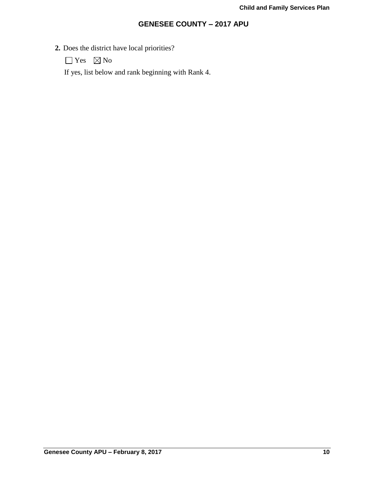- **2.** Does the district have local priorities?
	- $\Box$  Yes  $\Box$  No

If yes, list below and rank beginning with Rank 4.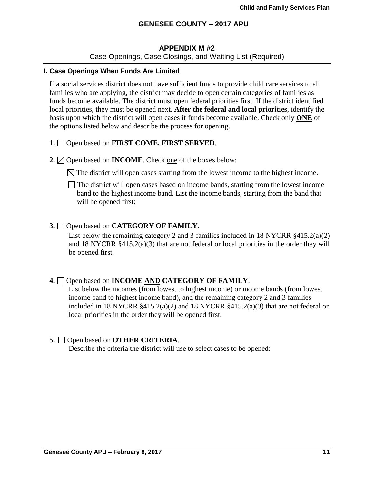## **APPENDIX M #2**

Case Openings, Case Closings, and Waiting List (Required)

#### **I. Case Openings When Funds Are Limited**

If a social services district does not have sufficient funds to provide child care services to all families who are applying, the district may decide to open certain categories of families as funds become available. The district must open federal priorities first. If the district identified local priorities, they must be opened next. **After the federal and local priorities**, identify the basis upon which the district will open cases if funds become available. Check only **ONE** of the options listed below and describe the process for opening.

### **1.** Open based on **FIRST COME, FIRST SERVED**.

- **2.**  $\boxtimes$  Open based on **INCOME**. Check one of the boxes below:
	- $\boxtimes$  The district will open cases starting from the lowest income to the highest income.
	- The district will open cases based on income bands, starting from the lowest income band to the highest income band. List the income bands, starting from the band that will be opened first:

### **3.** Open based on **CATEGORY OF FAMILY**.

List below the remaining category 2 and 3 families included in 18 NYCRR  $§415.2(a)(2)$ and 18 NYCRR  $§415.2(a)(3)$  that are not federal or local priorities in the order they will be opened first.

## **4.** Open based on **INCOME AND CATEGORY OF FAMILY**.

List below the incomes (from lowest to highest income) or income bands (from lowest income band to highest income band), and the remaining category 2 and 3 families included in 18 NYCRR §415.2(a)(2) and 18 NYCRR §415.2(a)(3) that are not federal or local priorities in the order they will be opened first.

## **5.** Open based on **OTHER CRITERIA**.

Describe the criteria the district will use to select cases to be opened: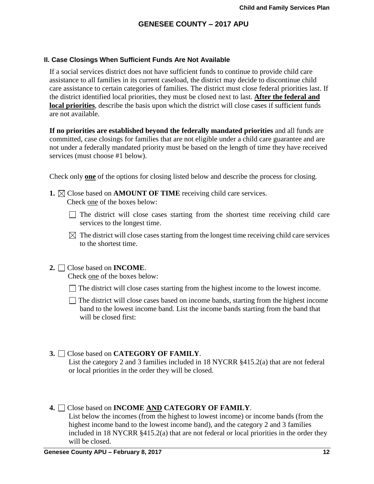#### **II. Case Closings When Sufficient Funds Are Not Available**

 If a social services district does not have sufficient funds to continue to provide child care assistance to all families in its current caseload, the district may decide to discontinue child care assistance to certain categories of families. The district must close federal priorities last. If the district identified local priorities, they must be closed next to last. **After the federal and local priorities**, describe the basis upon which the district will close cases if sufficient funds are not available.

**If no priorities are established beyond the federally mandated priorities** and all funds are committed, case closings for families that are not eligible under a child care guarantee and are not under a federally mandated priority must be based on the length of time they have received services (must choose #1 below).

Check only **one** of the options for closing listed below and describe the process for closing.

- **1.**  $\boxtimes$  Close based on **AMOUNT OF TIME** receiving child care services. Check one of the boxes below:
	- The district will close cases starting from the shortest time receiving child care services to the longest time.
	- $\boxtimes$  The district will close cases starting from the longest time receiving child care services to the shortest time.
- **2.** Close based on **INCOME**.

Check one of the boxes below:

- $\Box$  The district will close cases starting from the highest income to the lowest income.
- $\Box$  The district will close cases based on income bands, starting from the highest income band to the lowest income band. List the income bands starting from the band that will be closed first:
- **3.** Close based on **CATEGORY OF FAMILY**.

List the category 2 and 3 families included in 18 NYCRR §415.2(a) that are not federal or local priorities in the order they will be closed.

**4.** Close based on **INCOME AND CATEGORY OF FAMILY**.

List below the incomes (from the highest to lowest income) or income bands (from the highest income band to the lowest income band), and the category 2 and 3 families included in 18 NYCRR §415.2(a) that are not federal or local priorities in the order they will be closed.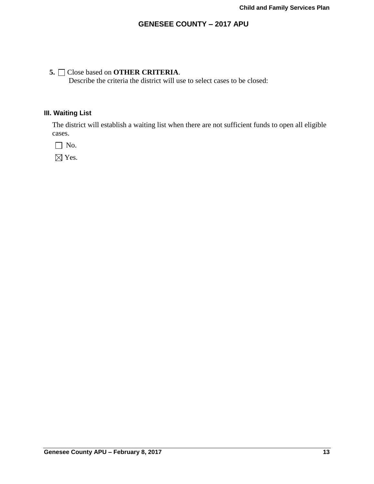## **5.** Close based on **OTHER CRITERIA**.

Describe the criteria the district will use to select cases to be closed:

### **III. Waiting List**

The district will establish a waiting list when there are not sufficient funds to open all eligible cases.

 $\Box$  No.

 $\boxtimes$  Yes.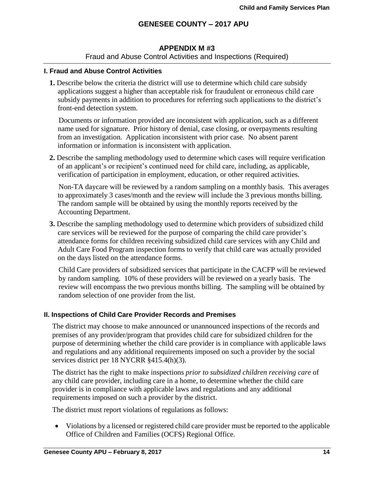### **APPENDIX M #3**

Fraud and Abuse Control Activities and Inspections (Required)

### **I. Fraud and Abuse Control Activities**

**1.** Describe below the criteria the district will use to determine which child care subsidy applications suggest a higher than acceptable risk for fraudulent or erroneous child care subsidy payments in addition to procedures for referring such applications to the district's front-end detection system.

Documents or information provided are inconsistent with application, such as a different name used for signature. Prior history of denial, case closing, or overpayments resulting from an investigation. Application inconsistent with prior case. No absent parent information or information is inconsistent with application.

**2.** Describe the sampling methodology used to determine which cases will require verification of an applicant's or recipient's continued need for child care, including, as applicable, verification of participation in employment, education, or other required activities.

Non-TA daycare will be reviewed by a random sampling on a monthly basis. This averages to approximately 3 cases/month and the review will include the 3 previous months billing. The random sample will be obtained by using the monthly reports received by the Accounting Department.

**3.** Describe the sampling methodology used to determine which providers of subsidized child care services will be reviewed for the purpose of comparing the child care provider's attendance forms for children receiving subsidized child care services with any Child and Adult Care Food Program inspection forms to verify that child care was actually provided on the days listed on the attendance forms.

Child Care providers of subsidized services that participate in the CACFP will be reviewed by random sampling. 10% of these providers will be reviewed on a yearly basis. The review will encompass the two previous months billing. The sampling will be obtained by random selection of one provider from the list.

#### **II. Inspections of Child Care Provider Records and Premises**

The district may choose to make announced or unannounced inspections of the records and premises of any provider/program that provides child care for subsidized children for the purpose of determining whether the child care provider is in compliance with applicable laws and regulations and any additional requirements imposed on such a provider by the social services district per 18 NYCRR §415.4(h)(3).

The district has the right to make inspections *prior to subsidized children receiving care* of any child care provider, including care in a home, to determine whether the child care provider is in compliance with applicable laws and regulations and any additional requirements imposed on such a provider by the district.

The district must report violations of regulations as follows:

 Violations by a licensed or registered child care provider must be reported to the applicable Office of Children and Families (OCFS) Regional Office.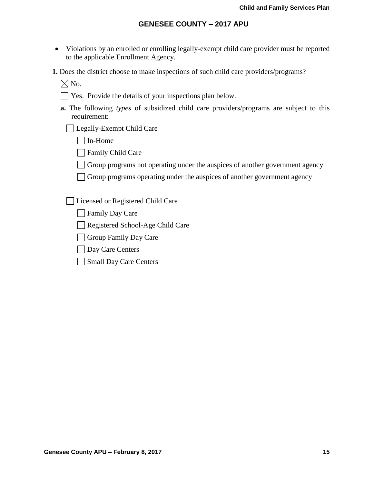Violations by an enrolled or enrolling legally-exempt child care provider must be reported to the applicable Enrollment Agency.

**1.** Does the district choose to make inspections of such child care providers/programs?

 $\times$  No.

- Yes. Provide the details of your inspections plan below.
- **a.** The following *types* of subsidized child care providers/programs are subject to this requirement:

Legally-Exempt Child Care

In-Home

Family Child Care

- Group programs not operating under the auspices of another government agency
- $\Box$  Group programs operating under the auspices of another government agency

Licensed or Registered Child Care

- **Family Day Care**
- Registered School-Age Child Care
- Group Family Day Care
- Day Care Centers
- Small Day Care Centers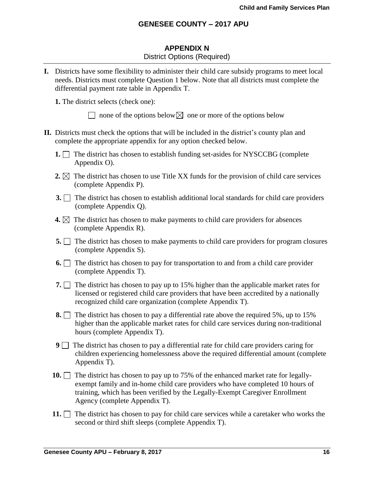#### **APPENDIX N** District Options (Required)

**I.** Districts have some flexibility to administer their child care subsidy programs to meet local needs. Districts must complete Question 1 below. Note that all districts must complete the differential payment rate table in Appendix T.

**1.** The district selects (check one):

 $\Box$  none of the options below  $\boxtimes$  one or more of the options below

- **II.** Districts must check the options that will be included in the district's county plan and complete the appropriate appendix for any option checked below.
	- **1.** The district has chosen to establish funding set-asides for NYSCCBG (complete Appendix O).
	- **2.**  $\boxtimes$  The district has chosen to use Title XX funds for the provision of child care services (complete Appendix P).
	- **3.** The district has chosen to establish additional local standards for child care providers (complete Appendix Q).
	- **4.**  $\boxtimes$  The district has chosen to make payments to child care providers for absences (complete Appendix R).
	- **5.** The district has chosen to make payments to child care providers for program closures (complete Appendix S).
	- **6.** The district has chosen to pay for transportation to and from a child care provider (complete Appendix T).
	- **7.** The district has chosen to pay up to 15% higher than the applicable market rates for licensed or registered child care providers that have been accredited by a nationally recognized child care organization (complete Appendix T).
	- **8.** The district has chosen to pay a differential rate above the required 5%, up to 15% higher than the applicable market rates for child care services during non-traditional hours (complete Appendix T).
	- **9** The district has chosen to pay a differential rate for child care providers caring for children experiencing homelessness above the required differential amount (complete Appendix T).
	- **10.** The district has chosen to pay up to 75% of the enhanced market rate for legally exempt family and in-home child care providers who have completed 10 hours of training, which has been verified by the Legally-Exempt Caregiver Enrollment Agency (complete Appendix T).
	- 11. The district has chosen to pay for child care services while a caretaker who works the second or third shift sleeps (complete Appendix T).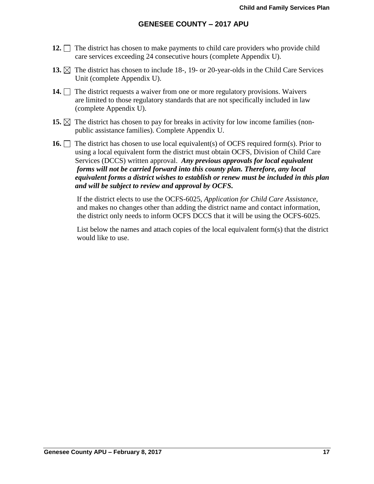- **12.** The district has chosen to make payments to child care providers who provide child care services exceeding 24 consecutive hours (complete Appendix U).
- **13.**  $\boxtimes$  The district has chosen to include 18-, 19- or 20-year-olds in the Child Care Services Unit (complete Appendix U).
- **14.** The district requests a waiver from one or more regulatory provisions. Waivers are limited to those regulatory standards that are not specifically included in law (complete Appendix U).
- **15.**  $\boxtimes$  The district has chosen to pay for breaks in activity for low income families (nonpublic assistance families). Complete Appendix U.
- **16.** The district has chosen to use local equivalent(s) of OCFS required form(s). Prior to using a local equivalent form the district must obtain OCFS, Division of Child Care Services (DCCS) written approval. *Any previous approvals for local equivalent forms will not be carried forward into this county plan. Therefore, any local equivalent forms a district wishes to establish or renew must be included in this plan and will be subject to review and approval by OCFS.*

If the district elects to use the OCFS-6025, *Application for Child Care Assistance,* and makes no changes other than adding the district name and contact information, the district only needs to inform OCFS DCCS that it will be using the OCFS-6025.

List below the names and attach copies of the local equivalent form(s) that the district would like to use.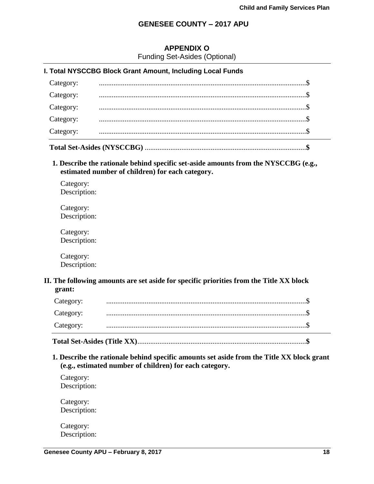## **APPENDIX O**

Funding Set-Asides (Optional)

## **I. Total NYSCCBG Block Grant Amount, Including Local Funds**

| Category: |  |
|-----------|--|
| Category: |  |
| Category: |  |
| Category: |  |
| Category: |  |

**Total Set-Asides (NYSCCBG)** ........................................................................................**\$** 

**1. Describe the rationale behind specific set-aside amounts from the NYSCCBG (e.g., estimated number of children) for each category.**

Category: Description:

Category: Description:

Category: Description:

Category: Description:

#### **II. The following amounts are set aside for specific priorities from the Title XX block grant:**

| Category: |  |
|-----------|--|
|           |  |
| Category: |  |
| Category: |  |

**1. Describe the rationale behind specific amounts set aside from the Title XX block grant (e.g., estimated number of children) for each category.**

Category: Description:

Category: Description:

Category: Description: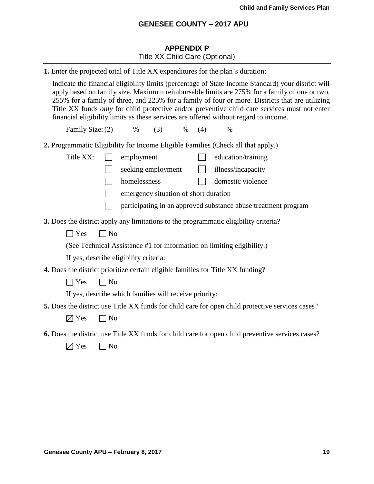## **APPENDIX P** Title XX Child Care (Optional)

| <b>1.</b> Enter the projected total of Title XX expenditures for the plan's duration:       |                                       |     |      |              |                                                                                                                                                                                                                                                                                                                                                                                                                                                                                                       |
|---------------------------------------------------------------------------------------------|---------------------------------------|-----|------|--------------|-------------------------------------------------------------------------------------------------------------------------------------------------------------------------------------------------------------------------------------------------------------------------------------------------------------------------------------------------------------------------------------------------------------------------------------------------------------------------------------------------------|
|                                                                                             |                                       |     |      |              | Indicate the financial eligibility limits (percentage of State Income Standard) your district will<br>apply based on family size. Maximum reimbursable limits are 275% for a family of one or two,<br>255% for a family of three, and 225% for a family of four or more. Districts that are utilizing<br>Title XX funds <i>only</i> for child protective and/or preventive child care services must not enter<br>financial eligibility limits as these services are offered without regard to income. |
| Family Size: (2)                                                                            | $\%$                                  | (3) | $\%$ | (4)          | $\%$                                                                                                                                                                                                                                                                                                                                                                                                                                                                                                  |
| 2. Programmatic Eligibility for Income Eligible Families (Check all that apply.)            |                                       |     |      |              |                                                                                                                                                                                                                                                                                                                                                                                                                                                                                                       |
| Title XX:                                                                                   | employment                            |     |      |              | education/training                                                                                                                                                                                                                                                                                                                                                                                                                                                                                    |
|                                                                                             | seeking employment                    |     |      | $\mathbf{L}$ | illness/incapacity                                                                                                                                                                                                                                                                                                                                                                                                                                                                                    |
|                                                                                             | homelessness                          |     |      |              | domestic violence                                                                                                                                                                                                                                                                                                                                                                                                                                                                                     |
|                                                                                             | emergency situation of short duration |     |      |              |                                                                                                                                                                                                                                                                                                                                                                                                                                                                                                       |
|                                                                                             |                                       |     |      |              | participating in an approved substance abuse treatment program                                                                                                                                                                                                                                                                                                                                                                                                                                        |
| <b>3.</b> Does the district apply any limitations to the programmatic eligibility criteria? |                                       |     |      |              |                                                                                                                                                                                                                                                                                                                                                                                                                                                                                                       |
| $\Box$ No<br>$\bigcap$ Yes                                                                  |                                       |     |      |              |                                                                                                                                                                                                                                                                                                                                                                                                                                                                                                       |
| (See Technical Assistance #1 for information on limiting eligibility.)                      |                                       |     |      |              |                                                                                                                                                                                                                                                                                                                                                                                                                                                                                                       |
| If yes, describe eligibility criteria:                                                      |                                       |     |      |              |                                                                                                                                                                                                                                                                                                                                                                                                                                                                                                       |
| 4. Does the district prioritize certain eligible families for Title XX funding?             |                                       |     |      |              |                                                                                                                                                                                                                                                                                                                                                                                                                                                                                                       |
| Yes<br>$\Box$ No                                                                            |                                       |     |      |              |                                                                                                                                                                                                                                                                                                                                                                                                                                                                                                       |
| If yes, describe which families will receive priority:                                      |                                       |     |      |              |                                                                                                                                                                                                                                                                                                                                                                                                                                                                                                       |
|                                                                                             |                                       |     |      |              | 5. Does the district use Title XX funds for child care for open child protective services cases?                                                                                                                                                                                                                                                                                                                                                                                                      |
| N <sub>o</sub><br>$\boxtimes$ Yes                                                           |                                       |     |      |              |                                                                                                                                                                                                                                                                                                                                                                                                                                                                                                       |
|                                                                                             |                                       |     |      |              | 6. Does the district use Title XX funds for child care for open child preventive services cases?                                                                                                                                                                                                                                                                                                                                                                                                      |
| $\boxtimes$ Yes<br>N <sub>o</sub>                                                           |                                       |     |      |              |                                                                                                                                                                                                                                                                                                                                                                                                                                                                                                       |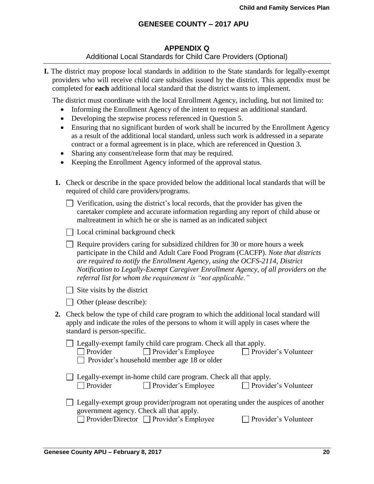## **APPENDIX Q**

#### Additional Local Standards for Child Care Providers (Optional)

**I.** The district may propose local standards in addition to the State standards for legally-exempt providers who will receive child care subsidies issued by the district. This appendix must be completed for **each** additional local standard that the district wants to implement.

The district must coordinate with the local Enrollment Agency, including, but not limited to:

- Informing the Enrollment Agency of the intent to request an additional standard.
- Developing the stepwise process referenced in Question 5.
- Ensuring that no significant burden of work shall be incurred by the Enrollment Agency as a result of the additional local standard, unless such work is addressed in a separate contract or a formal agreement is in place, which are referenced in Question 3.
- Sharing any consent/release form that may be required.
- Keeping the Enrollment Agency informed of the approval status.
- **1.** Check or describe in the space provided below the additional local standards that will be required of child care providers/programs.

| $\Box$ Verification, using the district's local records, that the provider has given the |
|------------------------------------------------------------------------------------------|
| caretaker complete and accurate information regarding any report of child abuse or       |
| maltreatment in which he or she is named as an indicated subject                         |

|  |  |  | $\Box$ Local criminal background check |  |
|--|--|--|----------------------------------------|--|
|--|--|--|----------------------------------------|--|

Require providers caring for subsidized children for 30 or more hours a week participate in the Child and Adult Care Food Program (CACFP). *Note that districts are required to notify the Enrollment Agency, using the OCFS-2114, District Notification to Legally-Exempt Caregiver Enrollment Agency, of all providers on the referral list for whom the requirement is "not applicable."*

 $\Box$  Site visits by the district

|  |  |  | $\Box$ Other (please describe): |
|--|--|--|---------------------------------|
|--|--|--|---------------------------------|

**2.** Check below the type of child care program to which the additional local standard will apply and indicate the roles of the persons to whom it will apply in cases where the standard is person-specific.

□ Legally-exempt family child care program. Check all that apply.

| $\Box$ Provider | <b>Provider's Employee</b>                         | $\Box$ Provider's Volunteer |
|-----------------|----------------------------------------------------|-----------------------------|
|                 | $\Box$ Provider's household member age 18 or older |                             |

|          | $\Box$ Legally-exempt in-home child care program. Check all that apply. |                             |
|----------|-------------------------------------------------------------------------|-----------------------------|
| Provider | $\Box$ Provider's Employee                                              | $\Box$ Provider's Volunteer |

| $\Box$ Legally-exempt group provider/program not operating under the auspices of another                                                                                                                                                                                                                                    |  |
|-----------------------------------------------------------------------------------------------------------------------------------------------------------------------------------------------------------------------------------------------------------------------------------------------------------------------------|--|
| government agency. Check all that apply.                                                                                                                                                                                                                                                                                    |  |
| $\Box$ n $\cdots$ $\cdots$<br>$\Box$ n $\Box$ n $\Box$ n $\Box$ n $\Box$ n $\Box$ n $\Box$ n $\Box$ n $\Box$ n $\Box$ n $\Box$ n $\Box$ n $\Box$ n $\Box$ n $\Box$ n $\Box$ n $\Box$ n $\Box$ n $\Box$ n $\Box$ n $\Box$ n $\Box$ n $\Box$ n $\Box$ n $\Box$ n $\Box$ n $\Box$ n $\Box$ n $\Box$ n $\Box$ n $\Box$ n $\Box$ |  |

Provider/Director Provider's Employee Provider's Volunteer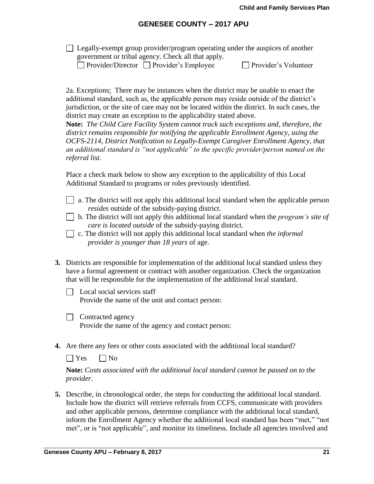$\Box$  Legally-exempt group provider/program operating under the auspices of another government or tribal agency. Check all that apply.

 $\Box$  Provider/Director  $\Box$  Provider's Employee  $\Box$ 

| Provider's Volunteer |  |  |
|----------------------|--|--|
|                      |  |  |
|                      |  |  |

2a. Exceptions:There may be instances when the district may be unable to enact the additional standard, such as, the applicable person may reside outside of the district's jurisdiction, or the site of care may not be located within the district. In such cases, the district may create an exception to the applicability stated above.

**Note:** *The Child Care Facility System cannot track such exceptions and, therefore, the district remains responsible for notifying the applicable Enrollment Agency, using the OCFS-2114, District Notification to Legally-Exempt Caregiver Enrollment Agency, that an additional standard is "not applicable" to the specific provider/person named on the referral list*.

Place a check mark below to show any exception to the applicability of this Local Additional Standard to programs or roles previously identified.

- a. The district will not apply this additional local standard when the applicable person *resides* outside of the subsidy-paying district.
- b. The district will not apply this additional local standard when the *program's site of care is located outside* of the subsidy-paying district.
- c. The district will not apply this additional local standard when *the informal provider is younger than 18 years* of age.
- **3.** Districts are responsible for implementation of the additional local standard unless they have a formal agreement or contract with another organization. Check the organization that will be responsible for the implementation of the additional local standard.
	- $\Box$  Local social services staff Provide the name of the unit and contact person:
	- $\Box$  Contracted agency

Provide the name of the agency and contact person:

**4.** Are there any fees or other costs associated with the additional local standard?

 $\Box$  Yes  $\Box$  No

**Note:** *Costs associated with the additional local standard cannot be passed on to the provider.*

**5.** Describe, in chronological order, the steps for conducting the additional local standard. Include how the district will retrieve referrals from CCFS, communicate with providers and other applicable persons, determine compliance with the additional local standard, inform the Enrollment Agency whether the additional local standard has been "met," "not met", or is "not applicable", and monitor its timeliness. Include all agencies involved and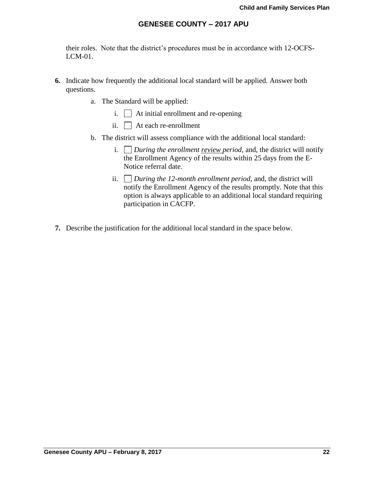their roles. Note that the district's procedures must be in accordance with 12-OCFS- $LCM-01$ .

- **6.** Indicate how frequently the additional local standard will be applied. Answer both questions.
	- a. The Standard will be applied:
		- i. At initial enrollment and re-opening
		- ii. At each re-enrollment
	- b. The district will assess compliance with the additional local standard:
		- i. *During the enrollment review period*, and, the district will notify the Enrollment Agency of the results within 25 days from the E-Notice referral date.
		- ii. *During the 12-month enrollment period,* and, the district will notify the Enrollment Agency of the results promptly. Note that this option is always applicable to an additional local standard requiring participation in CACFP.
- **7.** Describe the justification for the additional local standard in the space below.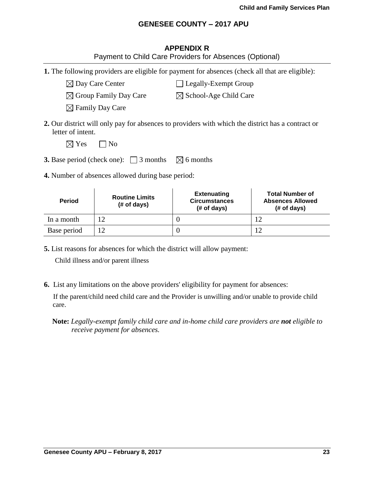## **APPENDIX R**

Payment to Child Care Providers for Absences (Optional)

**1.** The following providers are eligible for payment for absences (check all that are eligible):

 $\boxtimes$  Day Care Center  $\Box$  Legally-Exempt Group

 $\boxtimes$  Group Family Day Care  $\boxtimes$  School-Age Child Care

 $\boxtimes$  Family Day Care

**2.** Our district will only pay for absences to providers with which the district has a contract or letter of intent.

 $\boxtimes$  Yes  $\Box$  No

**3.** Base period (check one):  $\Box$  3 months  $\Box$  6 months

**4.** Number of absences allowed during base period:

| <b>Period</b> | <b>Routine Limits</b><br>(# of days) | <b>Extenuating</b><br><b>Circumstances</b><br># of days) | <b>Total Number of</b><br><b>Absences Allowed</b><br>$#$ of days) |
|---------------|--------------------------------------|----------------------------------------------------------|-------------------------------------------------------------------|
| In a month    |                                      |                                                          | 12                                                                |
| Base period   |                                      |                                                          | 12                                                                |

**5.** List reasons for absences for which the district will allow payment:

Child illness and/or parent illness

**6.** List any limitations on the above providers' eligibility for payment for absences:

 If the parent/child need child care and the Provider is unwilling and/or unable to provide child care.

**Note:** *Legally-exempt family child care and in-home child care providers are not eligible to receive payment for absences.*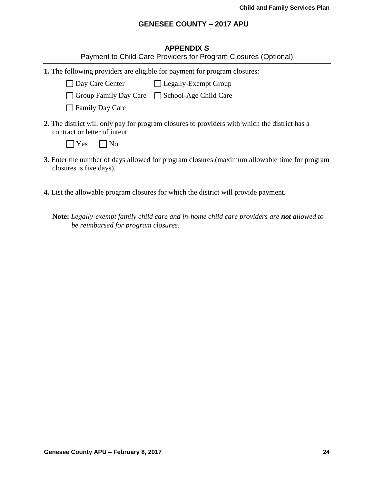## **APPENDIX S**

| Payment to Child Care Providers for Program Closures (Optional) |  |
|-----------------------------------------------------------------|--|
|-----------------------------------------------------------------|--|

**1.** The following providers are eligible for payment for program closures:

| □ Day Care Center | □ Legally-Exempt Group |
|-------------------|------------------------|
|-------------------|------------------------|

| Group Family Day Care | School-Age Child Care |
|-----------------------|-----------------------|
|-----------------------|-----------------------|

**□ Family Day Care** 

**2.** The district will only pay for program closures to providers with which the district has a contract or letter of intent.

| $\tilde{\phantom{a}}$ | ง∩<br>L. |
|-----------------------|----------|
|-----------------------|----------|

- **3.** Enter the number of days allowed for program closures (maximum allowable time for program closures is five days).
- **4.** List the allowable program closures for which the district will provide payment.
	- **Note:** *Legally-exempt family child care and in-home child care providers are not allowed to be reimbursed for program closures.*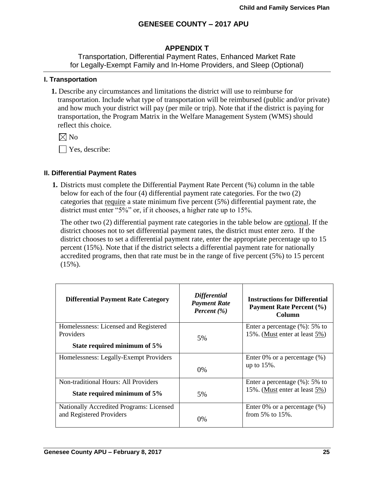## **APPENDIX T**

Transportation, Differential Payment Rates, Enhanced Market Rate for Legally-Exempt Family and In-Home Providers, and Sleep (Optional)

### **I. Transportation**

**1.** Describe any circumstances and limitations the district will use to reimburse for transportation. Include what type of transportation will be reimbursed (public and/or private) and how much your district will pay (per mile or trip). Note that if the district is paying for transportation, the Program Matrix in the Welfare Management System (WMS) should reflect this choice.

 $\times$  No

Yes, describe:

## **II. Differential Payment Rates**

**1.** Districts must complete the Differential Payment Rate Percent (%) column in the table below for each of the four (4) differential payment rate categories. For the two (2) categories that require a state minimum five percent (5%) differential payment rate, the district must enter "5%" or, if it chooses, a higher rate up to 15%.

The other two (2) differential payment rate categories in the table below are optional. If the district chooses not to set differential payment rates, the district must enter zero. If the district chooses to set a differential payment rate, enter the appropriate percentage up to 15 percent (15%). Note that if the district selects a differential payment rate for nationally accredited programs, then that rate must be in the range of five percent (5%) to 15 percent  $(15\%)$ .

| <b>Differential Payment Rate Category</b>          | <b>Differential</b><br><b>Payment Rate</b><br>Percent $(\% )$ | <b>Instructions for Differential</b><br>Payment Rate Percent (%)<br>Column |
|----------------------------------------------------|---------------------------------------------------------------|----------------------------------------------------------------------------|
| Homelessness: Licensed and Registered<br>Providers | 5%                                                            | Enter a percentage $(\%): 5\%$ to<br>15%. (Must enter at least 5%)         |
|                                                    |                                                               |                                                                            |
| State required minimum of 5%                       |                                                               |                                                                            |
| Homelessness: Legally-Exempt Providers             |                                                               | Enter $0\%$ or a percentage $(\%)$                                         |
|                                                    | $0\%$                                                         | up to $15%$ .                                                              |
| <b>Non-traditional Hours: All Providers</b>        |                                                               | Enter a percentage $(\%): 5\%$ to                                          |
| State required minimum of 5%                       | 5%                                                            | 15%. (Must enter at least 5%)                                              |
| Nationally Accredited Programs: Licensed           |                                                               | Enter 0% or a percentage $(\%)$                                            |
| and Registered Providers                           | 0%                                                            | from $5\%$ to $15\%$ .                                                     |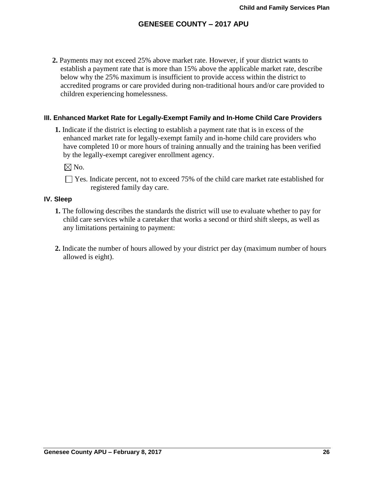**2.** Payments may not exceed 25% above market rate. However, if your district wants to establish a payment rate that is more than 15% above the applicable market rate, describe below why the 25% maximum is insufficient to provide access within the district to accredited programs or care provided during non-traditional hours and/or care provided to children experiencing homelessness.

### **III. Enhanced Market Rate for Legally-Exempt Family and In-Home Child Care Providers**

**1.** Indicate if the district is electing to establish a payment rate that is in excess of the enhanced market rate for legally-exempt family and in-home child care providers who have completed 10 or more hours of training annually and the training has been verified by the legally-exempt caregiver enrollment agency.

 $\boxtimes$  No.

 $\Box$  Yes. Indicate percent, not to exceed 75% of the child care market rate established for registered family day care.

### **IV. Sleep**

- **1.** The following describes the standards the district will use to evaluate whether to pay for child care services while a caretaker that works a second or third shift sleeps, as well as any limitations pertaining to payment:
- **2.** Indicate the number of hours allowed by your district per day (maximum number of hours allowed is eight).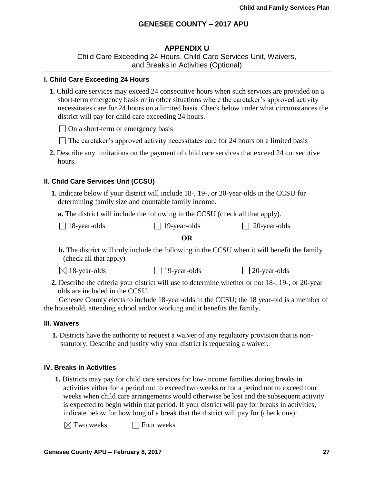### **APPENDIX U**

Child Care Exceeding 24 Hours, Child Care Services Unit, Waivers, and Breaks in Activities (Optional)

#### **I. Child Care Exceeding 24 Hours**

**1.** Child care services may exceed 24 consecutive hours when such services are provided on a short-term emergency basis or in other situations where the caretaker's approved activity necessitates care for 24 hours on a limited basis. Check below under what circumstances the district will pay for child care exceeding 24 hours.

 $\Box$  On a short-term or emergency basis

- $\Box$  The caretaker's approved activity necessitates care for 24 hours on a limited basis
- **2.** Describe any limitations on the payment of child care services that exceed 24 consecutive hours.

### **II. Child Care Services Unit (CCSU)**

**1.** Indicate below if your district will include 18-, 19-, or 20-year-olds in the CCSU for determining family size and countable family income.

**a.** The district will include the following in the CCSU (check all that apply).

| $\Box$ 18-year-olds | $\Box$ 19-year-olds | $\Box$ 20-year-olds |
|---------------------|---------------------|---------------------|
|                     |                     |                     |

 **b.** The district will only include the following in the CCSU when it will benefit the family (check all that apply)

**OR**

- $\boxtimes$  18-year-olds 19-year-olds 20-year-olds
- **2.** Describe the criteria your district will use to determine whether or not 18-, 19-, or 20-year olds are included in the CCSU.

 Genesee County elects to include 18-year-olds in the CCSU; the 18 year-old is a member of the household, attending school and/or working and it benefits the family.

#### **III. Waivers**

**1.** Districts have the authority to request a waiver of any regulatory provision that is nonstatutory. Describe and justify why your district is requesting a waiver.

#### **IV. Breaks in Activities**

**1.** Districts may pay for child care services for low-income families during breaks in activities either for a period not to exceed two weeks or for a period not to exceed four weeks when child care arrangements would otherwise be lost and the subsequent activity is expected to begin within that period. If your district will pay for breaks in activities, indicate below for how long of a break that the district will pay for (check one):

 $\boxtimes$  Two weeks  $\Box$  Four weeks